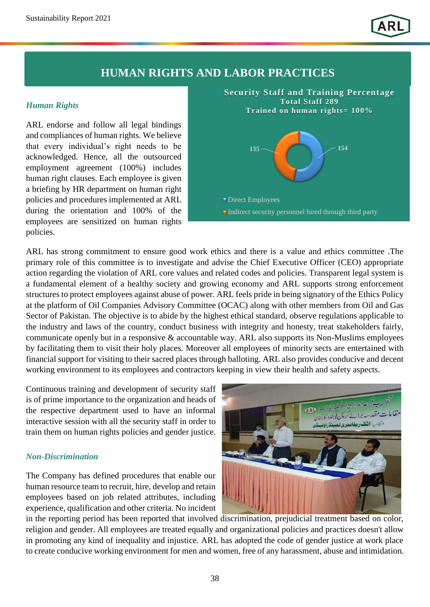## **HUMAN RIGHTS AND LABOR PRACTICES**

### *Human Rights*

ARL endorse and follow all legal bindings and compliances of human rights. We believe that every individual's right needs to be acknowledged. Hence, all the outsourced employment agreement (100%) includes human right clauses. Each employee is given a briefing by HR department on human right policies and procedures implemented at ARL during the orientation and 100% of the employees are sensitized on human rights policies.



ARL has strong commitment to ensure good work ethics and there is a value and ethics committee .The primary role of this committee is to investigate and advise the Chief Executive Officer (CEO) appropriate action regarding the violation of ARL core values and related codes and policies. Transparent legal system is a fundamental element of a healthy society and growing economy and ARL supports strong enforcement structures to protect employees against abuse of power. ARL feels pride in being signatory of the Ethics Policy at the platform of Oil Companies Advisory Committee (OCAC) along with other members from Oil and Gas Sector of Pakistan. The objective is to abide by the highest ethical standard, observe regulations applicable to the industry and laws of the country, conduct business with integrity and honesty, treat stakeholders fairly, communicate openly but in a responsive & accountable way. ARL also supports its Non-Muslims employees by facilitating them to visit their holy places. Moreover all employees of minority sects are entertained with financial support for visiting to their sacred places through balloting. ARL also provides conducive and decent working environment to its employees and contractors keeping in view their health and safety aspects.

Continuous training and development of security staff is of prime importance to the organization and heads of the respective department used to have an informal interactive session with all the security staff in order to train them on human rights policies and gender justice.

### *Non-Discrimination*

The Company has defined procedures that enable our human resource team to recruit, hire, develop and retain employees based on job related attributes, including experience, qualification and other criteria. No incident



in the reporting period has been reported that involved discrimination, prejudicial treatment based on color, religion and gender. All employees are treated equally and organizational policies and practices doesn't allow in promoting any kind of inequality and injustice. ARL has adopted the code of gender justice at work place to create conducive working environment for men and women, free of any harassment, abuse and intimidation.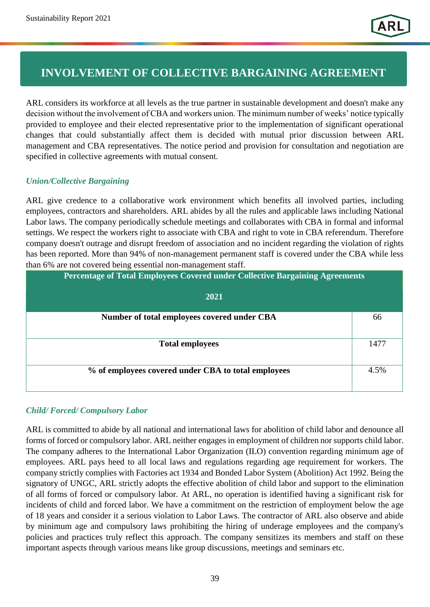# **INVOLVEMENT OF COLLECTIVE BARGAINING AGREEMENT**

ARL considers its workforce at all levels as the true partner in sustainable development and doesn't make any decision without the involvement of CBA and workers union. The minimum number of weeks' notice typically provided to employee and their elected representative prior to the implementation of significant operational changes that could substantially affect them is decided with mutual prior discussion between ARL management and CBA representatives. The notice period and provision for consultation and negotiation are specified in collective agreements with mutual consent.

## *Union/Collective Bargaining*

ARL give credence to a collaborative work environment which benefits all involved parties, including employees, contractors and shareholders. ARL abides by all the rules and applicable laws including National Labor laws. The company periodically schedule meetings and collaborates with CBA in formal and informal settings. We respect the workers right to associate with CBA and right to vote in CBA referendum. Therefore company doesn't outrage and disrupt freedom of association and no incident regarding the violation of rights has been reported. More than 94% of non-management permanent staff is covered under the CBA while less than 6% are not covered being essential non-management staff.

| <b>Percentage of Total Employees Covered under Collective Bargaining Agreements</b> |      |  |  |  |
|-------------------------------------------------------------------------------------|------|--|--|--|
| 2021                                                                                |      |  |  |  |
| Number of total employees covered under CBA                                         | 66   |  |  |  |
| <b>Total employees</b>                                                              | 1477 |  |  |  |
| % of employees covered under CBA to total employees                                 | 4.5% |  |  |  |

## *Child/ Forced/ Compulsory Labor*

ARL is committed to abide by all national and international laws for abolition of child labor and denounce all forms of forced or compulsory labor. ARL neither engages in employment of children nor supports child labor. The company adheres to the International Labor Organization (ILO) convention regarding minimum age of employees. ARL pays heed to all local laws and regulations regarding age requirement for workers. The company strictly complies with Factories act 1934 and Bonded Labor System (Abolition) Act 1992. Being the signatory of UNGC, ARL strictly adopts the effective abolition of child labor and support to the elimination of all forms of forced or compulsory labor. At ARL, no operation is identified having a significant risk for incidents of child and forced labor. We have a commitment on the restriction of employment below the age of 18 years and consider it a serious violation to Labor Laws. The contractor of ARL also observe and abide by minimum age and compulsory laws prohibiting the hiring of underage employees and the company's policies and practices truly reflect this approach. The company sensitizes its members and staff on these important aspects through various means like group discussions, meetings and seminars etc.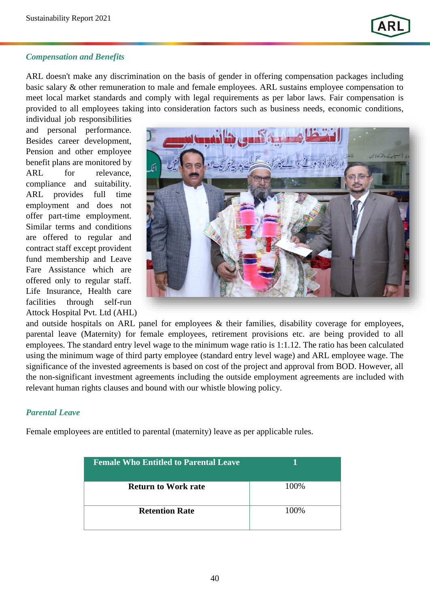

### *Compensation and Benefits*

ARL doesn't make any discrimination on the basis of gender in offering compensation packages including basic salary & other remuneration to male and female employees. ARL sustains employee compensation to meet local market standards and comply with legal requirements as per labor laws. Fair compensation is provided to all employees taking into consideration factors such as business needs, economic conditions,

individual job responsibilities and personal performance. Besides career development, Pension and other employee benefit plans are monitored by ARL for relevance, compliance and suitability. ARL provides full time employment and does not offer part-time employment. Similar terms and conditions are offered to regular and contract staff except provident fund membership and Leave Fare Assistance which are offered only to regular staff. Life Insurance, Health care facilities through self-run Attock Hospital Pvt. Ltd (AHL)



and outside hospitals on ARL panel for employees & their families, disability coverage for employees, parental leave (Maternity) for female employees, retirement provisions etc. are being provided to all employees. The standard entry level wage to the minimum wage ratio is 1:1.12. The ratio has been calculated using the minimum wage of third party employee (standard entry level wage) and ARL employee wage. The significance of the invested agreements is based on cost of the project and approval from BOD. However, all the non-significant investment agreements including the outside employment agreements are included with relevant human rights clauses and bound with our whistle blowing policy.

#### *Parental Leave*

Female employees are entitled to parental (maternity) leave as per applicable rules.

| <b>Female Who Entitled to Parental Leave</b> |      |
|----------------------------------------------|------|
| <b>Return to Work rate</b>                   | 100% |
| <b>Retention Rate</b>                        | 100% |